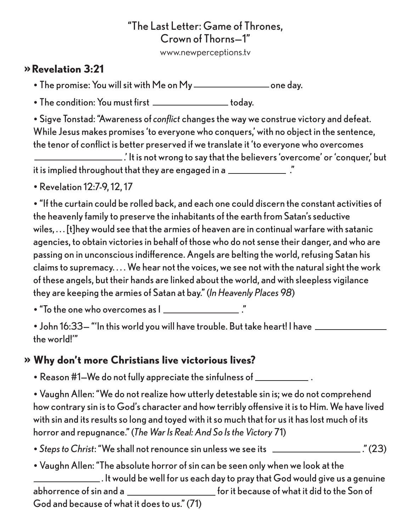## "The Last Letter: Game of Thrones, Crown of Thorns—1"

www.newperceptions.tv

## »**Revelation 3:21**

• The promise: You will sit with Me on My \_\_\_\_\_\_\_\_\_\_\_\_\_\_\_\_\_\_\_\_\_\_one day.

• The condition: You must first **the condition of the condition** 

• Sigve Tonstad: "Awareness of *conflict* changes the way we construe victory and defeat. While Jesus makes promises 'to everyone who conquers,' with no object in the sentence, the tenor of conflict is better preserved if we translate it 'to everyone who overcomes

 .' It is not wrong to say that the believers 'overcome' or 'conquer,' but it is implied throughout that they are engaged in a \_\_\_\_\_\_\_\_\_\_\_\_\_\_..."

• Revelation 12:7-9, 12, 17

• "If the curtain could be rolled back, and each one could discern the constant activities of the heavenly family to preserve the inhabitants of the earth from Satan's seductive wiles, . . . [t]hey would see that the armies of heaven are in continual warfare with satanic agencies, to obtain victories in behalf of those who do not sense their danger, and who are passing on in unconscious indifference. Angels are belting the world, refusing Satan his claims to supremacy. . . . We hear not the voices, we see not with the natural sight the work of these angels, but their hands are linked about the world, and with sleepless vigilance they are keeping the armies of Satan at bay." (*In Heavenly Places 98*)

• "To the one who overcomes as  $\mathsf{l}$   $\mathsf{l}$   $\mathsf{l}$   $\mathsf{l}$   $\mathsf{l}$   $\mathsf{l}$   $\mathsf{l}$   $\mathsf{l}$   $\mathsf{l}$   $\mathsf{l}$   $\mathsf{l}$   $\mathsf{l}$   $\mathsf{l}$   $\mathsf{l}$   $\mathsf{l}$   $\mathsf{l}$   $\mathsf{l}$   $\mathsf{l}$   $\mathsf{l}$   $\mathsf{l}$   $\mathsf{l}$   $\mathsf{l}$   $\mathsf{l}$   $\mathsf{l}$ 

• John 16:33— "'In this world you will have trouble. But take heart! I have the world!'"

## » **Why don't more Christians live victorious lives?**

• Reason #1—We do not fully appreciate the sinfulness of .

• Vaughn Allen: "We do not realize how utterly detestable sin is; we do not comprehend how contrary sin is to God's character and how terribly offensive it is to Him. We have lived with sin and its results so long and toyed with it so much that for us it has lost much of its horror and repugnance." (*The War Is Real: And So Is the Victory* 71)

• *Steps to Christ*: "We shall not renounce sin unless we see its \_\_\_\_\_\_\_\_\_\_\_\_\_\_\_\_\_\_..." (23)

• Vaughn Allen: "The absolute horror of sin can be seen only when we look at the . It would be well for us each day to pray that God would give us a genuine abhorrence of sin and a **for it because of what it did to the Son of** God and because of what it does to us." (71)